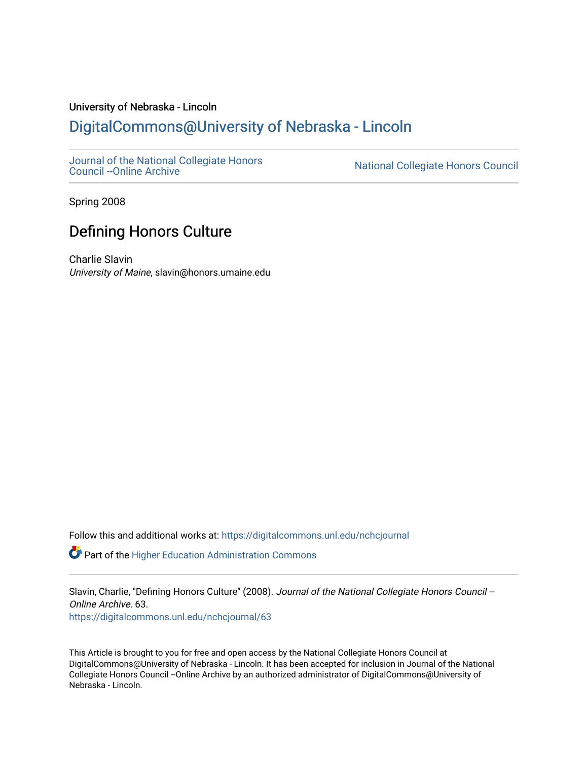## University of Nebraska - Lincoln [DigitalCommons@University of Nebraska - Lincoln](https://digitalcommons.unl.edu/)

[Journal of the National Collegiate Honors](https://digitalcommons.unl.edu/nchcjournal) 

National Collegiate Honors Council

Spring 2008

# Defining Honors Culture

Charlie Slavin University of Maine, slavin@honors.umaine.edu

Follow this and additional works at: [https://digitalcommons.unl.edu/nchcjournal](https://digitalcommons.unl.edu/nchcjournal?utm_source=digitalcommons.unl.edu%2Fnchcjournal%2F63&utm_medium=PDF&utm_campaign=PDFCoverPages) 

 $\bullet$  Part of the Higher Education Administration Commons

Slavin, Charlie, "Defining Honors Culture" (2008). Journal of the National Collegiate Honors Council --Online Archive. 63.

[https://digitalcommons.unl.edu/nchcjournal/63](https://digitalcommons.unl.edu/nchcjournal/63?utm_source=digitalcommons.unl.edu%2Fnchcjournal%2F63&utm_medium=PDF&utm_campaign=PDFCoverPages) 

This Article is brought to you for free and open access by the National Collegiate Honors Council at DigitalCommons@University of Nebraska - Lincoln. It has been accepted for inclusion in Journal of the National Collegiate Honors Council --Online Archive by an authorized administrator of DigitalCommons@University of Nebraska - Lincoln.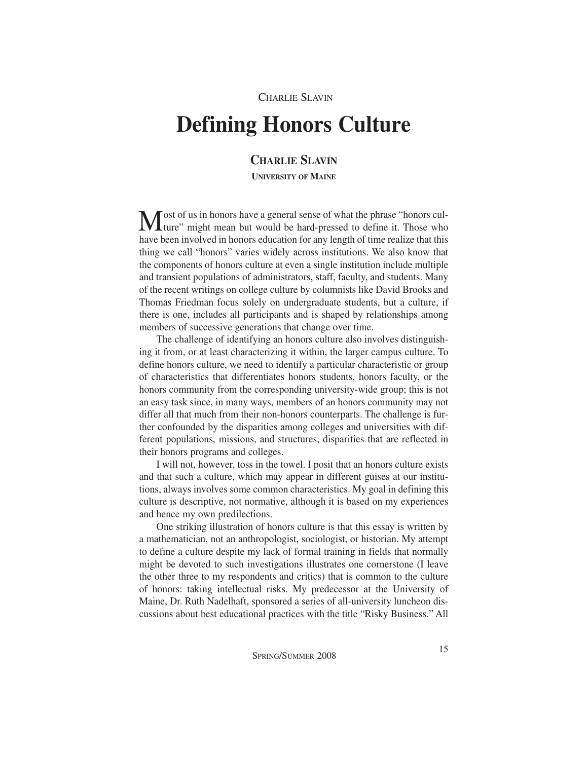### CHARLIE SLAVIN

# **Defining Honors Culture**

## **CHARLIE SLAVIN**

**UNIVERSITY OF MAINE**

Most of us in honors have a general sense of what the phrase "honors cul-**I** ture" might mean but would be hard-pressed to define it. Those who have been involved in honors education for any length of time realize that this thing we call "honors" varies widely across institutions. We also know that the components of honors culture at even a single institution include multiple and transient populations of administrators, staff, faculty, and students. Many of the recent writings on college culture by columnists like David Brooks and Thomas Friedman focus solely on undergraduate students, but a culture, if there is one, includes all participants and is shaped by relationships among members of successive generations that change over time.

The challenge of identifying an honors culture also involves distinguishing it from, or at least characterizing it within, the larger campus culture. To define honors culture, we need to identify a particular characteristic or group of characteristics that differentiates honors students, honors faculty, or the honors community from the corresponding university-wide group; this is not an easy task since, in many ways, members of an honors community may not differ all that much from their non-honors counterparts. The challenge is further confounded by the disparities among colleges and universities with different populations, missions, and structures, disparities that are reflected in their honors programs and colleges.

I will not, however, toss in the towel. I posit that an honors culture exists and that such a culture, which may appear in different guises at our institutions, always involves some common characteristics. My goal in defining this culture is descriptive, not normative, although it is based on my experiences and hence my own predilections.

One striking illustration of honors culture is that this essay is written by a mathematician, not an anthropologist, sociologist, or historian. My attempt to define a culture despite my lack of formal training in fields that normally might be devoted to such investigations illustrates one cornerstone (I leave the other three to my respondents and critics) that is common to the culture of honors: taking intellectual risks. My predecessor at the University of Maine, Dr. Ruth Nadelhaft, sponsored a series of all-university luncheon discussions about best educational practices with the title "Risky Business." All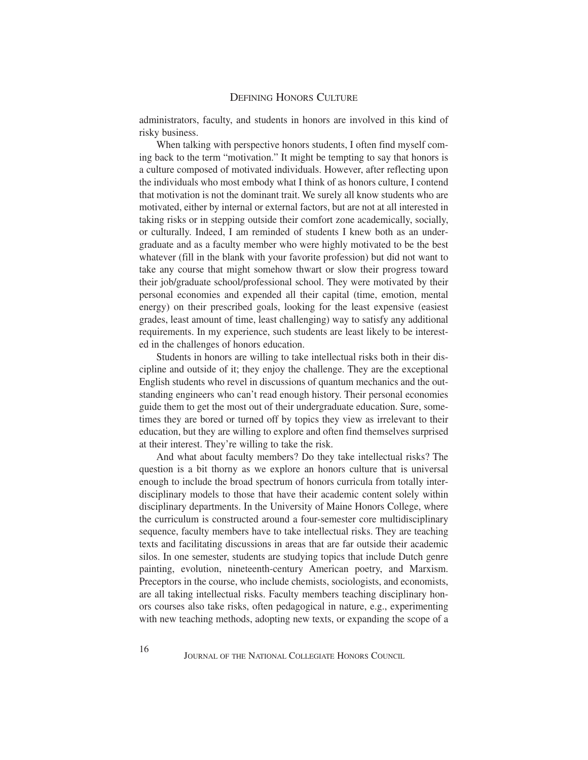administrators, faculty, and students in honors are involved in this kind of risky business.

When talking with perspective honors students, I often find myself coming back to the term "motivation." It might be tempting to say that honors is a culture composed of motivated individuals. However, after reflecting upon the individuals who most embody what I think of as honors culture, I contend that motivation is not the dominant trait. We surely all know students who are motivated, either by internal or external factors, but are not at all interested in taking risks or in stepping outside their comfort zone academically, socially, or culturally. Indeed, I am reminded of students I knew both as an undergraduate and as a faculty member who were highly motivated to be the best whatever (fill in the blank with your favorite profession) but did not want to take any course that might somehow thwart or slow their progress toward their job/graduate school/professional school. They were motivated by their personal economies and expended all their capital (time, emotion, mental energy) on their prescribed goals, looking for the least expensive (easiest grades, least amount of time, least challenging) way to satisfy any additional requirements. In my experience, such students are least likely to be interested in the challenges of honors education.

Students in honors are willing to take intellectual risks both in their discipline and outside of it; they enjoy the challenge. They are the exceptional English students who revel in discussions of quantum mechanics and the outstanding engineers who can't read enough history. Their personal economies guide them to get the most out of their undergraduate education. Sure, sometimes they are bored or turned off by topics they view as irrelevant to their education, but they are willing to explore and often find themselves surprised at their interest. They're willing to take the risk.

And what about faculty members? Do they take intellectual risks? The question is a bit thorny as we explore an honors culture that is universal enough to include the broad spectrum of honors curricula from totally interdisciplinary models to those that have their academic content solely within disciplinary departments. In the University of Maine Honors College, where the curriculum is constructed around a four-semester core multidisciplinary sequence, faculty members have to take intellectual risks. They are teaching texts and facilitating discussions in areas that are far outside their academic silos. In one semester, students are studying topics that include Dutch genre painting, evolution, nineteenth-century American poetry, and Marxism. Preceptors in the course, who include chemists, sociologists, and economists, are all taking intellectual risks. Faculty members teaching disciplinary honors courses also take risks, often pedagogical in nature, e.g., experimenting with new teaching methods, adopting new texts, or expanding the scope of a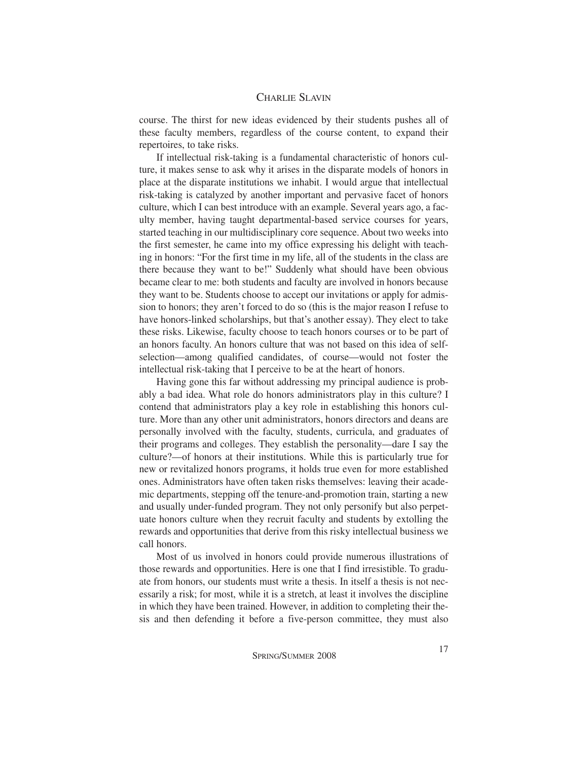course. The thirst for new ideas evidenced by their students pushes all of these faculty members, regardless of the course content, to expand their repertoires, to take risks.

If intellectual risk-taking is a fundamental characteristic of honors culture, it makes sense to ask why it arises in the disparate models of honors in place at the disparate institutions we inhabit. I would argue that intellectual risk-taking is catalyzed by another important and pervasive facet of honors culture, which I can best introduce with an example. Several years ago, a faculty member, having taught departmental-based service courses for years, started teaching in our multidisciplinary core sequence. About two weeks into the first semester, he came into my office expressing his delight with teaching in honors: "For the first time in my life, all of the students in the class are there because they want to be!" Suddenly what should have been obvious became clear to me: both students and faculty are involved in honors because they want to be. Students choose to accept our invitations or apply for admission to honors; they aren't forced to do so (this is the major reason I refuse to have honors-linked scholarships, but that's another essay). They elect to take these risks. Likewise, faculty choose to teach honors courses or to be part of an honors faculty. An honors culture that was not based on this idea of selfselection—among qualified candidates, of course—would not foster the intellectual risk-taking that I perceive to be at the heart of honors.

Having gone this far without addressing my principal audience is probably a bad idea. What role do honors administrators play in this culture? I contend that administrators play a key role in establishing this honors culture. More than any other unit administrators, honors directors and deans are personally involved with the faculty, students, curricula, and graduates of their programs and colleges. They establish the personality—dare I say the culture?—of honors at their institutions. While this is particularly true for new or revitalized honors programs, it holds true even for more established ones. Administrators have often taken risks themselves: leaving their academic departments, stepping off the tenure-and-promotion train, starting a new and usually under-funded program. They not only personify but also perpetuate honors culture when they recruit faculty and students by extolling the rewards and opportunities that derive from this risky intellectual business we call honors.

Most of us involved in honors could provide numerous illustrations of those rewards and opportunities. Here is one that I find irresistible. To graduate from honors, our students must write a thesis. In itself a thesis is not necessarily a risk; for most, while it is a stretch, at least it involves the discipline in which they have been trained. However, in addition to completing their thesis and then defending it before a five-person committee, they must also